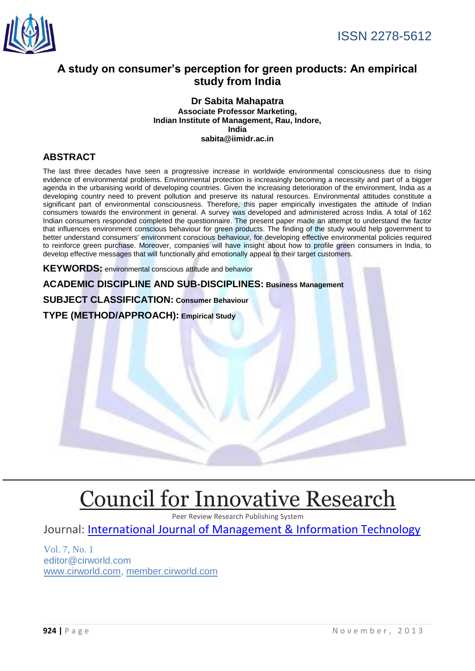

# **A study on consumer's perception for green products: An empirical study from India**

#### **Dr Sabita Mahapatra Associate Professor Marketing, Indian Institute of Management, Rau, Indore, India sabita@iimidr.ac.in**

# **ABSTRACT**

The last three decades have seen a progressive increase in worldwide environmental consciousness due to rising evidence of environmental problems. Environmental protection is increasingly becoming a necessity and part of a bigger agenda in the urbanising world of developing countries. Given the increasing deterioration of the environment, India as a developing country need to prevent pollution and preserve its natural resources. Environmental attitudes constitute a significant part of environmental consciousness. Therefore, this paper empirically investigates the attitude of Indian consumers towards the environment in general. A survey was developed and administered across India. A total of 162 Indian consumers responded completed the questionnaire. The present paper made an attempt to understand the factor that influences environment conscious behaviour for green products. The finding of the study would help government to better understand consumers' environment conscious behaviour, for developing effective environmental policies required to reinforce green purchase. Moreover, companies will have insight about how to profile green consumers in India, to develop effective messages that will functionally and emotionally appeal to their target customers.

**KEYWORDS:** environmental conscious attitude and behavior

**ACADEMIC DISCIPLINE AND SUB-DISCIPLINES: Business Management** 

### **SUBJECT CLASSIFICATION: Consumer Behaviour**

#### **TYPE (METHOD/APPROACH): Empirical Study**

# [Council for Innovative Research](http://member.cirworld.com/)

Peer Review Research Publishing System

Journal: [International Journal of Management & Information Technology](http://www.ijmit.com/)

Vol. 7, No. 1 editor@cirworld.com [www.cirworld.com, me](http://www.cirworld.com/)mber.cirworld.com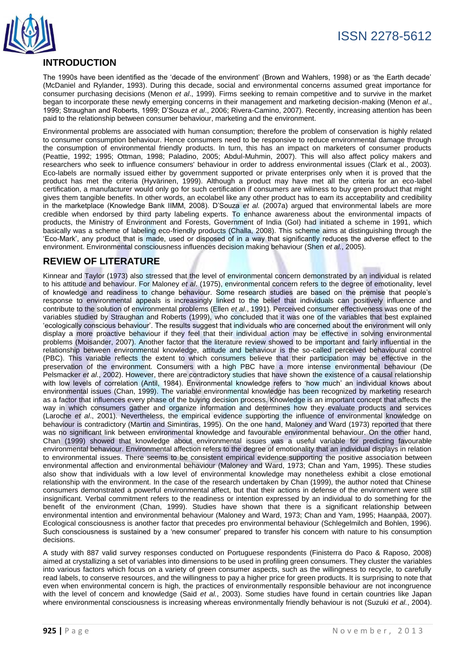

# **INTRODUCTION**

The 1990s have been identified as the 'decade of the environment' (Brown and Wahlers, 1998) or as 'the Earth decade' (McDaniel and Rylander, 1993). During this decade, social and environmental concerns assumed great importance for consumer purchasing decisions (Menon *et al*., 1999). Firms seeking to remain competitive and to survive in the market began to incorporate these newly emerging concerns in their management and marketing decision-making (Menon *et al*., 1999; Straughan and Roberts, 1999; D'Souza *et al*., 2006; Rivera-Camino, 2007). Recently, increasing attention has been paid to the relationship between consumer behaviour, marketing and the environment.

Environmental problems are associated with human consumption; therefore the problem of conservation is highly related to consumer consumption behaviour. Hence consumers need to be responsive to reduce environmental damage through the consumption of environmental friendly products. In turn, this has an impact on marketers of consumer products (Peattie, 1992; 1995; Ottman, 1998; Paladino, 2005; Abdul-Muhmin, 2007). This will also affect policy makers and researchers who seek to influence consumers' behaviour in order to address environmental issues (Clark et al., 2003). Eco-labels are normally issued either by government supported or private enterprises only when it is proved that the product has met the criteria (Hyvärinen, 1999). Although a product may have met all the criteria for an eco-label certification, a manufacturer would only go for such certification if consumers are wiliness to buy green product that might gives them tangible benefits. In other words, an ecolabel like any other product has to earn its acceptability and credibility in the marketplace (Knowledge Bank IIMM, 2008). D'Souza *et al.* (2007a) argued that environmental labels are more credible when endorsed by third party labeling experts. To enhance awareness about the environmental impacts of products, the Ministry of Environment and Forests, Government of India (GoI) had initiated a scheme in 1991, which basically was a scheme of labeling eco-friendly products (Challa, 2008). This scheme aims at distinguishing through the 'Eco-Mark', any product that is made, used or disposed of in a way that significantly reduces the adverse effect to the environment. Environmental consciousness influences decision making behaviour (Shen *et al.*, 2005).

# **REVIEW OF LITERATURE**

Kinnear and Taylor (1973) also stressed that the level of environmental concern demonstrated by an individual is related to his attitude and behaviour. For Maloney *et al*. (1975), environmental concern refers to the degree of emotionality, level of knowledge and readiness to change behaviour. Some research studies are based on the premise that people's response to environmental appeals is increasingly linked to the belief that individuals can positively influence and contribute to the solution of environmental problems (Ellen *et al*., 1991). Perceived consumer effectiveness was one of the variables studied by Straughan and Roberts (1999), who concluded that it was one of the variables that best explained 'ecologically conscious behaviour'. The results suggest that individuals who are concerned about the environment will only display a more proactive behaviour if they feel that their individual action may be effective in solving environmental problems (Moisander, 2007). Another factor that the literature review showed to be important and fairly influential in the relationship between environmental knowledge, attitude and behaviour is the so-called perceived behavioural control (PBC). This variable reflects the extent to which consumers believe that their participation may be effective in the preservation of the environment. Consumers with a high PBC have a more intense environmental behaviour (De Pelsmacker *et al*., 2002). However, there are contradictory studies that have shown the existence of a causal relationship with low levels of correlation (Antil, 1984). Environmental knowledge refers to 'how much' an individual knows about environmental issues (Chan, 1999). The variable environmental knowledge has been recognized by marketing research as a factor that influences every phase of the buying decision process. Knowledge is an important concept that affects the way in which consumers gather and organize information and determines how they evaluate products and services (Laroche *et al*., 2001). Nevertheless, the empirical evidence supporting the influence of environmental knowledge on behaviour is contradictory (Martin and Simintiras, 1995). On the one hand, Maloney and Ward (1973) reported that there was no significant link between environmental knowledge and favourable environmental behaviour. On the other hand, Chan (1999) showed that knowledge about environmental issues was a useful variable for predicting favourable environmental behaviour. Environmental affection refers to the degree of emotionality that an individual displays in relation to environmental issues. There seems to be consistent empirical evidence supporting the positive association between environmental affection and environmental behaviour (Maloney and Ward, 1973; Chan and Yam, 1995). These studies also show that individuals with a low level of environmental knowledge may nonetheless exhibit a close emotional relationship with the environment. In the case of the research undertaken by Chan (1999), the author noted that Chinese consumers demonstrated a powerful environmental affect, but that their actions in defense of the environment were still insignificant. Verbal commitment refers to the readiness or intention expressed by an individual to do something for the benefit of the environment (Chan, 1999). Studies have shown that there is a significant relationship between environmental intention and environmental behaviour (Maloney and Ward, 1973; Chan and Yam, 1995; Haanpää, 2007). Ecological consciousness is another factor that precedes pro environmental behaviour (Schlegelmilch and Bohlen, 1996). Such consciousness is sustained by a 'new consumer' prepared to transfer his concern with nature to his consumption decisions.

A study with 887 valid survey responses conducted on Portuguese respondents (Finisterra do Paco & Raposo, 2008) aimed at crystallizing a set of variables into dimensions to be used in profiling green consumers. They cluster the variables into various factors which focus on a variety of green consumer aspects, such as the willingness to recycle, to carefully read labels, to conserve resources, and the willingness to pay a higher price for green products. It is surprising to note that even when environmental concern is high, the practices of environmentally responsible behaviour are not incongruence with the level of concern and knowledge (Said *et al.*, 2003). Some studies have found in certain countries like Japan where environmental consciousness is increasing whereas environmentally friendly behaviour is not (Suzuki *et al.*, 2004).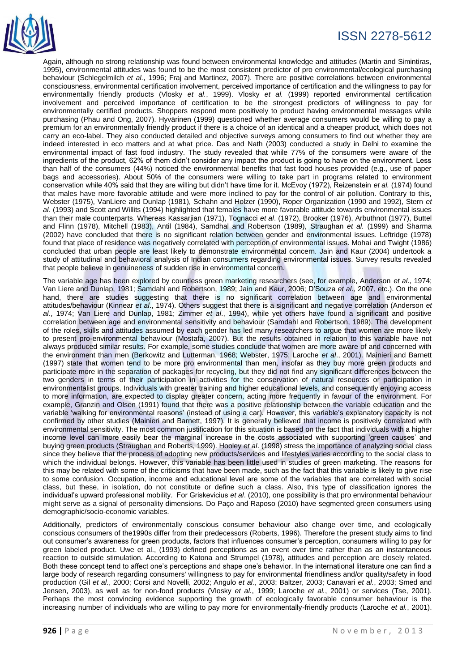

# ISSN 2278-5612

Again, although no strong relationship was found between environmental knowledge and attitudes (Martin and Simintiras, 1995), environmental attitudes was found to be the most consistent predictor of pro environmental/ecological purchasing behaviour (Schlegelmilch *et al.*, 1996; Fraj and Martinez, 2007). There are positive correlations between environmental consciousness, environmental certification involvement, perceived importance of certification and the willingness to pay for environmentally friendly products (Vlosky *et al.*, 1999). Vlosky *et al.* (1999) reported environmental certification involvement and perceived importance of certification to be the strongest predictors of willingness to pay for environmentally certified products. Shoppers respond more positively to product having environmental messages while purchasing (Phau and Ong, 2007). Hyvärinen (1999) questioned whether average consumers would be willing to pay a premium for an environmentally friendly product if there is a choice of an identical and a cheaper product, which does not carry an eco-label. They also conducted detailed and objective surveys among consumers to find out whether they are indeed interested in eco matters and at what price. Das and Nath (2003) conducted a study in Delhi to examine the environmental impact of fast food industry. The study revealed that while 77% of the consumers were aware of the ingredients of the product, 62% of them didn't consider any impact the product is going to have on the environment. Less than half of the consumers (44%) noticed the environmental benefits that fast food houses provided (e.g., use of paper bags and accessories). About 50% of the consumers were willing to take part in programs related to environment conservation while 40% said that they are willing but didn't have time for it. McEvoy (1972), Reizenstein *et al.* (1974) found that males have more favorable attitude and were more inclined to pay for the control of air pollution. Contrary to this, Webster (1975), VanLiere and Dunlap (1981), Schahn and Holzer (1990), Roper Organization (1990 and 1992), Stern *et al*. (1993) and Scott and Willits (1994) highlighted that females have more favorable attitude towards environmental issues than their male counterparts. Whereas Kassarjian (1971), Tognacci *et al*. (1972), Brooker (1976), Arbuthnot (1977), Buttel and Flinn (1978), Mitchell (1983), Antil (1984), Samdhal and Robertson (1989), Straughan *et al.* (1999) and Sharma (2002) have concluded that there is no significant relation between gender and environmental issues. Leftridge (1978) found that place of residence was negatively correlated with perception of environmental issues. Mohai and Twight (1986) concluded that urban people are least likely to demonstrate environmental concern. Jain and Kaur (2004) undertook a study of attitudinal and behavioral analysis of Indian consumers regarding environmental issues. Survey results revealed that people believe in genuineness of sudden rise in environmental concern.

The variable age has been explored by countless green marketing researchers (see, for example, Anderson *et al*., 1974; Van Liere and Dunlap, 1981; Samdahl and Robertson, 1989; Jain and Kaur, 2006; D'Souza *et al*., 2007, etc.). On the one hand, there are studies suggesting that there is no significant correlation between age and environmental attitudes/behaviour (Kinnear *et al*., 1974). Others suggest that there is a significant and negative correlation (Anderson *et al*., 1974; Van Liere and Dunlap, 1981; Zimmer *et al*., 1994), while yet others have found a significant and positive correlation between age and environmental sensitivity and behaviour (Samdahl and Robertson, 1989). The development of the roles, skills and attitudes assumed by each gender has led many researchers to argue that women are more likely to present pro-environmental behaviour (Mostafa, 2007). But the results obtained in relation to this variable have not always produced similar results. For example, some studies conclude that women are more aware of and concerned with the environment than men (Berkowitz and Lutterman, 1968; Webster, 1975; Laroche *et al*., 2001). Mainieri and Barnett (1997) state that women tend to be more pro environmental than men, insofar as they buy more green products and participate more in the separation of packages for recycling, but they did not find any significant differences between the two genders in terms of their participation in activities for the conservation of natural resources or participation in environmentalist groups. Individuals with greater training and higher educational levels, and consequently enjoying access to more information, are expected to display greater concern, acting more frequently in favour of the environment. For example, Granzin and Olsen (1991) found that there was a positive relationship between the variable education and the variable 'walking for environmental reasons' (instead of using a car). However, this variable's explanatory capacity is not confirmed by other studies (Mainieri and Barnett, 1997). It is generally believed that income is positively correlated with environmental sensitivity. The most common justification for this situation is based on the fact that individuals with a higher income level can more easily bear the marginal increase in the costs associated with supporting 'green causes' and buying green products (Straughan and Roberts, 1999). Hooley *et al*. (1998) stress the importance of analyzing social class since they believe that the process of adopting new products/services and lifestyles varies according to the social class to which the individual belongs. However, this variable has been little used in studies of green marketing. The reasons for this may be related with some of the criticisms that have been made, such as the fact that this variable is likely to give rise to some confusion. Occupation, income and educational level are some of the variables that are correlated with social class, but these, in isolation, do not constitute or define such a class. Also, this type of classification ignores the individual's upward professional mobility. For Griskevicius *et al*. (2010), one possibility is that pro environmental behaviour might serve as a signal of personality dimensions. Do Paço and Raposo (2010) have segmented green consumers using demographic/socio-economic variables.

Additionally, predictors of environmentally conscious consumer behaviour also change over time, and ecologically conscious consumers of the1990s differ from their predecessors (Roberts, 1996). Therefore the present study aims to find out consumer's awareness for green products, factors that influences consumer's perception, consumers willing to pay for green labeled product. Uwe et al., (1993) defined perceptions as an event over time rather than as an instantaneous reaction to outside stimulation. According to Katona and Strumpel (1978), attitudes and perception are closely related. Both these concept tend to affect one's perceptions and shape one's behavior. In the international literature one can find a large body of research regarding consumers' willingness to pay for environmental friendliness and/or quality/safety in food production (Gil *et al.*, 2000; Corsi and Novelli, 2002; Angulo *et al.*, 2003; Baltzer, 2003; Canavari *et al.*, 2003; Smed and Jensen, 2003), as well as for non-food products (Vlosky *et al.*, 1999; Laroche *et al.*, 2001) or services (Tse, 2001). Perhaps the most convincing evidence supporting the growth of ecologically favorable consumer behaviour is the increasing number of individuals who are willing to pay more for environmentally-friendly products (Laroche *et al.*, 2001).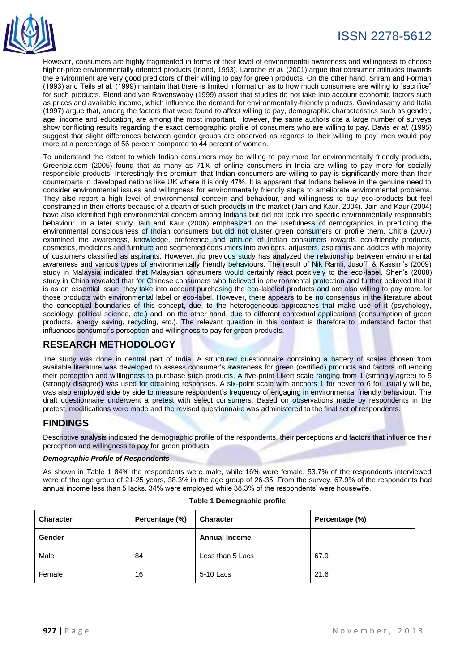

# ISSN 2278-5612

However, consumers are highly fragmented in terms of their level of environmental awareness and willingness to choose higher-price environmentally oriented products (Irland, 1993). Laroche *et al.* (2001) argue that consumer attitudes towards the environment are very good predictors of their willing to pay for green products. On the other hand, Sriram and Forman (1993) and Teils et al. (1999) maintain that there is limited information as to how much consumers are willing to "sacrifice" for such products. Blend and van Ravenswaay (1999) assert that studies do not take into account economic factors such as prices and available income, which influence the demand for environmentally-friendly products. Govindasamy and Italia (1997) argue that, among the factors that were found to affect willing to pay, demographic characteristics such as gender, age, income and education, are among the most important. However, the same authors cite a large number of surveys show conflicting results regarding the exact demographic profile of consumers who are willing to pay. Davis *et al.* (1995) suggest that slight differences between gender groups are observed as regards to their willing to pay: men would pay more at a percentage of 56 percent compared to 44 percent of women.

To understand the extent to which Indian consumers may be willing to pay more for environmentally friendly products, Greenbiz.com (2005) found that as many as 71% of online consumers in India are willing to pay more for socially responsible products. Interestingly this premium that Indian consumers are willing to pay is significantly more than their counterparts in developed nations like UK where it is only 47%. It is apparent that Indians believe in the genuine need to consider environmental issues and willingness for environmentally friendly steps to ameliorate environmental problems. They also report a high level of environmental concern and behaviour, and willingness to buy eco-products but feel constrained in their efforts because of a dearth of such products in the market (Jain and Kaur, 2004). Jain and Kaur (2004) have also identified high environmental concern among Indians but did not look into specific environmentally responsible behaviour. In a later study Jain and Kaur (2006) emphasized on the usefulness of demographics in predicting the environmental consciousness of Indian consumers but did not cluster green consumers or profile them. Chitra (2007) examined the awareness, knowledge, preference and attitude of Indian consumers towards eco-friendly products, cosmetics, medicines and furniture and segmented consumers into avoiders, adjusters, aspirants and addicts with majority of customers classified as aspirants. However, no previous study has analyzed the relationship between environmental awareness and various types of environmentally friendly behaviours. The result of Nik Ramli, Jusoff, & Kassim's (2009) study in Malaysia indicated that Malaysian consumers would certainly react positively to the eco-label. Shen's (2008) study in China revealed that for Chinese consumers who believed in environmental protection and further believed that it is as an essential issue, they take into account purchasing the eco-labeled products and are also willing to pay more for those products with environmental label or eco-label. However, there appears to be no consensus in the literature about the conceptual boundaries of this concept, due, to the heterogeneous approaches that make use of it (psychology, sociology, political science, etc.) and, on the other hand, due to different contextual applications (consumption of green products, energy saving, recycling, etc.). The relevant question in this context is therefore to understand factor that influences consumer's perception and willingness to pay for green products.

# **RESEARCH METHODOLOGY**

The study was done in central part of India. A structured questionnaire containing a battery of scales chosen from available literature was developed to assess consumer's awareness for green (certified) products and factors influencing their perception and willingness to purchase such products. A five-point Likert scale ranging from 1 (strongly agree) to 5 (strongly disagree) was used for obtaining responses. A six-point scale with anchors 1 for never to 6 for usually will be, was also employed side by side to measure respondent's frequency of engaging in environmental friendly behaviour. The draft questionnaire underwent a pretest with select consumers. Based on observations made by respondents in the pretest, modifications were made and the revised questionnaire was administered to the final set of respondents.

# **FINDINGS**

Descriptive analysis indicated the demographic profile of the respondents, their perceptions and factors that influence their perception and willingness to pay for green products.

#### *Demographic Profile of Respondents*

As shown in Table 1 84% the respondents were male, while 16% were female. 53.7% of the respondents interviewed were of the age group of 21-25 years, 38.3% in the age group of 26-35. From the survey, 67.9% of the respondents had annual income less than 5 lacks. 34% were employed while 38.3% of the respondents' were housewife.

| <b>Character</b> | Percentage (%) | <b>Character</b>     | Percentage (%) |
|------------------|----------------|----------------------|----------------|
| Gender           |                | <b>Annual Income</b> |                |
| Male             | 84             | Less than 5 Lacs     | 67.9           |
| Female           | 16             | 5-10 Lacs            | 21.6           |

#### **Table 1 Demographic profile**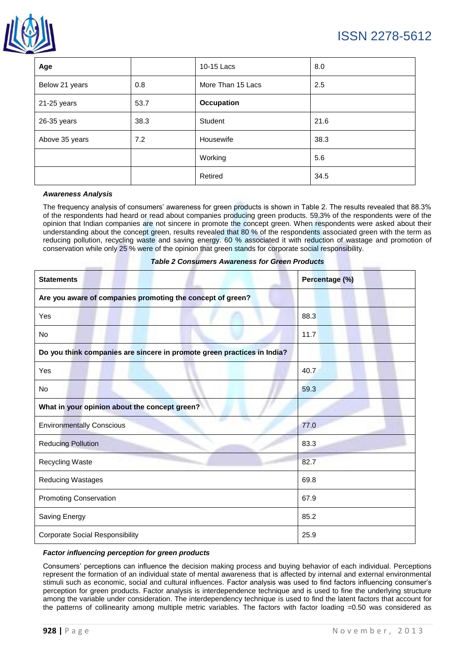

| Age            |      | 10-15 Lacs        | 8.0  |
|----------------|------|-------------------|------|
| Below 21 years | 0.8  | More Than 15 Lacs | 2.5  |
| 21-25 years    | 53.7 | Occupation        |      |
| 26-35 years    | 38.3 | Student           | 21.6 |
| Above 35 years | 7.2  | Housewife         | 38.3 |
|                |      | Working           | 5.6  |
|                |      | Retired           | 34.5 |

#### *Awareness Analysis*

The frequency analysis of consumers' awareness for green products is shown in Table 2. The results revealed that 88.3% of the respondents had heard or read about companies producing green products. 59.3% of the respondents were of the opinion that Indian companies are not sincere in promote the concept green. When respondents were asked about their understanding about the concept green, results revealed that 80 % of the respondents associated green with the term as reducing pollution, recycling waste and saving energy. 60 % associated it with reduction of wastage and promotion of conservation while only 25 % were of the opinion that green stands for corporate social responsibility.

#### *Table 2 Consumers Awareness for Green Products*

| <b>Statements</b>                                                       | Percentage (%) |  |
|-------------------------------------------------------------------------|----------------|--|
| Are you aware of companies promoting the concept of green?              |                |  |
| Yes                                                                     | 88.3           |  |
| No                                                                      | 11.7           |  |
| Do you think companies are sincere in promote green practices in India? |                |  |
| Yes                                                                     | 40.7           |  |
| No                                                                      | 59.3           |  |
| What in your opinion about the concept green?                           |                |  |
| <b>Environmentally Conscious</b>                                        | 77.0           |  |
| <b>Reducing Pollution</b>                                               | 83.3           |  |
| Recycling Waste                                                         | 82.7           |  |
| <b>Reducing Wastages</b>                                                | 69.8           |  |
| <b>Promoting Conservation</b>                                           | 67.9           |  |
| Saving Energy                                                           | 85.2           |  |
| <b>Corporate Social Responsibility</b>                                  | 25.9           |  |

#### *Factor influencing perception for green products*

Consumers' perceptions can influence the decision making process and buying behavior of each individual. Perceptions represent the formation of an individual state of mental awareness that is affected by internal and external environmental stimuli such as economic, social and cultural influences. Factor analysis was used to find factors influencing consumer's perception for green products. Factor analysis is interdependence technique and is used to fine the underlying structure among the variable under consideration. The interdependency technique is used to find the latent factors that account for the patterns of collinearity among multiple metric variables. The factors with factor loading =0.50 was considered as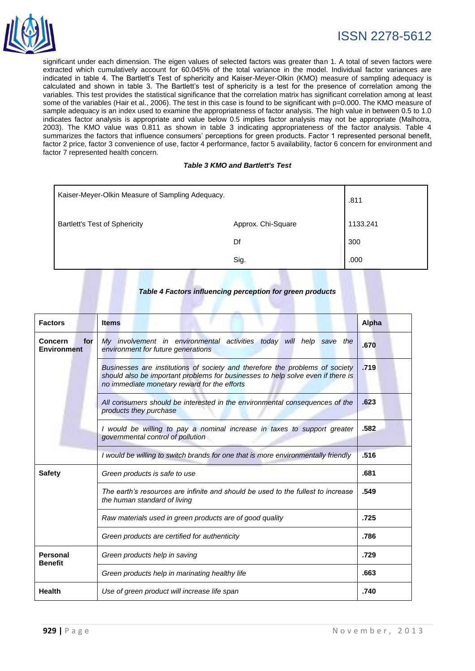

significant under each dimension. The eigen values of selected factors was greater than 1. A total of seven factors were extracted which cumulatively account for 60.045% of the total variance in the model. Individual factor variances are indicated in table 4. The Bartlett's Test of sphericity and Kaiser-Meyer-Olkin (KMO) measure of sampling adequacy is calculated and shown in table 3. The Bartlett's test of sphericity is a test for the presence of correlation among the variables. This test provides the statistical significance that the correlation matrix has significant correlation among at least some of the variables (Hair et al., 2006). The test in this case is found to be significant with p=0.000. The KMO measure of sample adequacy is an index used to examine the appropriateness of factor analysis. The high value in between 0.5 to 1.0 indicates factor analysis is appropriate and value below 0.5 implies factor analysis may not be appropriate (Malhotra, 2003). The KMO value was 0.811 as shown in table 3 indicating appropriateness of the factor analysis. Table 4 summarizes the factors that influence consumers' perceptions for green products. Factor 1 represented personal benefit, factor 2 price, factor 3 convenience of use, factor 4 performance, factor 5 availability, factor 6 concern for environment and factor 7 represented health concern.

#### *Table 3 KMO and Bartlett's Test*

| Kaiser-Meyer-Olkin Measure of Sampling Adequacy. |                    | .811     |
|--------------------------------------------------|--------------------|----------|
| <b>Bartlett's Test of Sphericity</b>             | Approx. Chi-Square | 1133.241 |
|                                                  | Df                 | 300      |
|                                                  | Sig.               | .000     |

#### *Table 4 Factors influencing perception for green products*

| <b>Factors</b>                                                                                                                                                                                                                | <b>Items</b>                                                                                                                                                                                                    | <b>Alpha</b> |
|-------------------------------------------------------------------------------------------------------------------------------------------------------------------------------------------------------------------------------|-----------------------------------------------------------------------------------------------------------------------------------------------------------------------------------------------------------------|--------------|
| <b>Concern</b><br>for<br><b>Environment</b>                                                                                                                                                                                   | My involvement in environmental activities today will help save the<br>environment for future generations                                                                                                       | .670         |
|                                                                                                                                                                                                                               | Businesses are institutions of society and therefore the problems of society<br>should also be important problems for businesses to help solve even if there is<br>no immediate monetary reward for the efforts | .719         |
|                                                                                                                                                                                                                               | All consumers should be interested in the environmental consequences of the<br>products they purchase                                                                                                           | .623         |
|                                                                                                                                                                                                                               | I would be willing to pay a nominal increase in taxes to support greater<br>governmental control of pollution                                                                                                   | .582         |
| I would be willing to switch brands for one that is more environmentally friendly                                                                                                                                             |                                                                                                                                                                                                                 | .516         |
| <b>Safety</b>                                                                                                                                                                                                                 | Green products is safe to use                                                                                                                                                                                   |              |
| The earth's resources are infinite and should be used to the fullest to increase<br>the human standard of living<br>Raw materials used in green products are of good quality<br>Green products are certified for authenticity |                                                                                                                                                                                                                 | .549         |
|                                                                                                                                                                                                                               |                                                                                                                                                                                                                 | .725         |
|                                                                                                                                                                                                                               |                                                                                                                                                                                                                 | .786         |
| <b>Personal</b><br><b>Benefit</b>                                                                                                                                                                                             | Green products help in saving                                                                                                                                                                                   | .729         |
|                                                                                                                                                                                                                               | Green products help in marinating healthy life                                                                                                                                                                  | .663         |
| <b>Health</b>                                                                                                                                                                                                                 | Use of green product will increase life span                                                                                                                                                                    | .740         |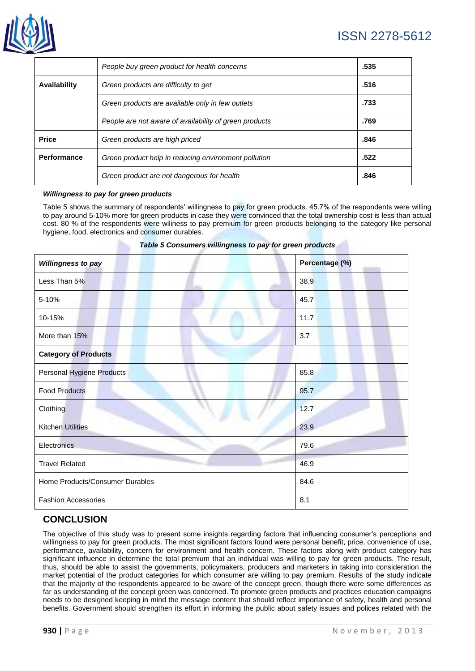

# ISSN 2278-5612

|              | People buy green product for health concerns           | .535 |
|--------------|--------------------------------------------------------|------|
| Availability | Green products are difficulty to get                   | .516 |
|              | Green products are available only in few outlets       | .733 |
|              | People are not aware of availability of green products | .769 |
| <b>Price</b> | Green products are high priced                         | .846 |
| Performance  | Green product help in reducing environment pollution   | .522 |
|              | Green product are not dangerous for health             | .846 |

#### *Willingness to pay for green products*

Table 5 shows the summary of respondents' willingness to pay for green products. 45.7% of the respondents were willing to pay around 5-10% more for green products in case they were convinced that the total ownership cost is less than actual cost. 80 % of the respondents were wiliness to pay premium for green products belonging to the category like personal hygiene, food, electronics and consumer durables.

| Willingness to pay              | Percentage (%) |  |
|---------------------------------|----------------|--|
| Less Than 5%                    | 38.9           |  |
| 5-10%                           | 45.7           |  |
| 10-15%                          | 11.7           |  |
| More than 15%                   | 3.7            |  |
| <b>Category of Products</b>     |                |  |
| Personal Hygiene Products       | 85.8           |  |
| <b>Food Products</b>            | 95.7           |  |
| Clothing                        | 12.7           |  |
| <b>Kitchen Utilities</b>        | 23.9           |  |
| <b>Electronics</b>              | 79.6           |  |
| <b>Travel Related</b>           | 46.9           |  |
| Home Products/Consumer Durables | 84.6           |  |

**Fashion Accessories** 8.1

#### *Table 5 Consumers willingness to pay for green products*

# **CONCLUSION**

The objective of this study was to present some insights regarding factors that influencing consumer's perceptions and willingness to pay for green products. The most significant factors found were personal benefit, price, convenience of use, performance, availability, concern for environment and health concern. These factors along with product category has significant influence in determine the total premium that an individual was willing to pay for green products. The result, thus, should be able to assist the governments, policymakers, producers and marketers in taking into consideration the market potential of the product categories for which consumer are willing to pay premium. Results of the study indicate that the majority of the respondents appeared to be aware of the concept green, though there were some differences as far as understanding of the concept green was concerned. To promote green products and practices education campaigns needs to be designed keeping in mind the message content that should reflect importance of safety, health and personal benefits. Government should strengthen its effort in informing the public about safety issues and polices related with the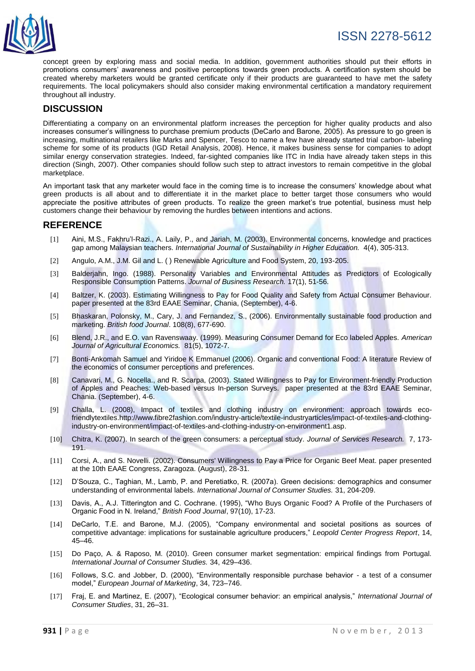

concept green by exploring mass and social media. In addition, government authorities should put their efforts in promotions consumers' awareness and positive perceptions towards green products. A certification system should be created whereby marketers would be granted certificate only if their products are guaranteed to have met the safety requirements. The local policymakers should also consider making environmental certification a mandatory requirement throughout all industry.

# **DISCUSSION**

Differentiating a company on an environmental platform increases the perception for higher quality products and also increases consumer's willingness to purchase premium products (DeCarlo and Barone, 2005). As pressure to go green is increasing, multinational retailers like Marks and Spencer, Tesco to name a few have already started trial carbon- labeling scheme for some of its products (IGD Retail Analysis, 2008). Hence, it makes business sense for companies to adopt similar energy conservation strategies. Indeed, far-sighted companies like ITC in India have already taken steps in this direction (Singh, 2007). Other companies should follow such step to attract investors to remain competitive in the global marketplace.

An important task that any marketer would face in the coming time is to increase the consumers' knowledge about what green products is all about and to differentiate it in the market place to better target those consumers who would appreciate the positive attributes of green products. To realize the green market's true potential, business must help customers change their behaviour by removing the hurdles between intentions and actions.

### **REFERENCE**

- [1] Aini, M.S., Fakhru'l-Razi., A. Laily, P., and Jariah, M. (2003). Environmental concerns, knowledge and practices gap among Malaysian teachers. *International Journal of Sustainability in Higher Education.* 4(4), 305-313.
- [2] Angulo, A.M., J.M. Gil and L. ( ) Renewable Agriculture and Food System, 20, 193-205.
- [3] Balderjahn, Ingo. (1988). Personality Variables and Environmental Attitudes as Predictors of Ecologically Responsible Consumption Patterns. *Journal of Business Research.* 17(1), 51-56.
- [4] Baltzer, K. (2003). Estimating Willingness to Pay for Food Quality and Safety from Actual Consumer Behaviour. paper presented at the 83rd EAAE Seminar, Chania, (September), 4-6.
- [5] Bhaskaran, Polonsky, M., Cary, J. and Fernandez, S., (2006). Environmentally sustainable food production and marketing. *British food Journal*. 108(8), 677-690.
- [6] Blend, J.R., and E.O. van Ravenswaay. (1999). Measuring Consumer Demand for Eco labeled Apples. *American Journal of Agricultural Economics.* 81(5), 1072-7.
- [7] Bonti-Ankomah Samuel and Yiridoe K Emmanuel (2006). Organic and conventional Food: A literature Review of the economics of consumer perceptions and preferences.
- [8] Canavari, M., G. Nocella., and R. Scarpa, (2003). Stated Willingness to Pay for Environment-friendly Production of Apples and Peaches: Web-based versus In-person Surveys. paper presented at the 83rd EAAE Seminar, Chania. (September), 4-6.
- [9] Challa, L. (2008), Impact of textiles and clothing industry on environment: approach towards ecofriendlytextile[s.http://www.fibre2fashion.com/industry-article/textile-industryarticles/impact-of-textiles-and-clothing](http://www.fibre2fashion.com/industry-article/textile-industryarticles/impact-of-textiles-and-clothing-industry-on-environment/impact-of-textiles-and-clothing-industry-on-environment1.asp)[industry-on-environment/impact-of-textiles-and-clothing-industry-on-environment1.asp.](http://www.fibre2fashion.com/industry-article/textile-industryarticles/impact-of-textiles-and-clothing-industry-on-environment/impact-of-textiles-and-clothing-industry-on-environment1.asp)
- [10] Chitra, K. (2007). In search of the green consumers: a perceptual study. *Journal of Services Research.* 7, 173- 191.
- [11] Corsi, A., and S. Novelli. (2002). Consumers' Willingness to Pay a Price for Organic Beef Meat. paper presented at the 10th EAAE Congress, Zaragoza. (August), 28-31.
- [12] D'Souza, C., Taghian, M., Lamb, P. and Peretiatko, R. (2007a). Green decisions: demographics and consumer understanding of environmental labels. *International Journal of Consumer Studies.* 31, 204-209.
- [13] Davis, A., A.J. Titterington and C. Cochrane. (1995), "Who Buys Organic Food? A Profile of the Purchasers of Organic Food in N. Ireland," *British Food Journal*, 97(10), 17-23.
- [14] DeCarlo, T.E. and Barone, M.J. (2005), "Company environmental and societal positions as sources of competitive advantage: implications for sustainable agriculture producers," *Leopold Center Progress Report*, 14, 45–46.
- [15] Do Paço, A. & Raposo, M. (2010). Green consumer market segmentation: empirical findings from Portugal. *International Journal of Consumer Studies.* 34, 429–436.
- [16] Follows, S.C. and Jobber, D. (2000), "Environmentally responsible purchase behavior a test of a consumer model," *European Journal of Marketing*, 34, 723–746.
- [17] Fraj, E. and Martinez, E. (2007), "Ecological consumer behavior: an empirical analysis," *International Journal of Consumer Studies*, 31, 26–31.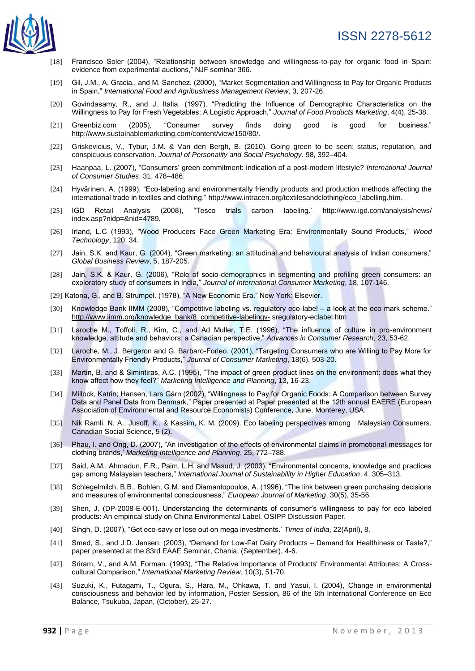

- [18] Francisco Soler (2004), "Relationship between knowledge and willingness-to-pay for organic food in Spain: evidence from experimental auctions," NJF seminar 366.
- [19] Gil, J.M., A. Gracia., and M. Sanchez. (2000), "Market Segmentation and Willingness to Pay for Organic Products in Spain," *International Food and Agribusiness Management Review*, 3, 207-26.
- [20] Govindasamy, R., and J. Italia. (1997), "Predicting the Influence of Demographic Characteristics on the Willingness to Pay for Fresh Vegetables: A Logistic Approach," *Journal of Food Products Marketing*, 4(4), 25-38.
- [21] Greenbiz.com (2005), "Consumer survey finds doing good is good for business." [http://www.sustainablemarketing.com/content/view/150/80/.](http://www.sustainablemarketing.com/content/view/150/80/)
- [22] Griskevicius, V., Tybur, J.M. & Van den Bergh, B. (2010). Going green to be seen: status, reputation, and conspicuous conservation. *Journal of Personality and Social Psychology.* 98, 392–404.
- [23] Haanpaa, L. (2007), "Consumers' green commitment: indication of a post-modern lifestyle? *International Journal of Consumer Studies*, 31, 478–486.
- [24] Hyvärinen, A. (1999), "Eco-labeling and environmentally friendly products and production methods affecting the international trade in textiles and clothing." [http://www.intracen.org/textilesandclothing/eco\\_labelling.htm.](http://www.intracen.org/textilesandclothing/eco_labelling.htm)
- [25] IGD Retail Analysis (2008), "Tesco trials carbon labeling.' <http://www.igd.com/analysis/news/> index.asp?nidp=&nid=4789.
- [26] Irland, L.C (1993), "Wood Producers Face Green Marketing Era: Environmentally Sound Products," *Wood Technology*, 120, 34.
- [27] Jain, S.K. and Kaur, G. (2004), "Green marketing: an attitudinal and behavioural analysis of Indian consumers," *Global Business Review*, 5, 187-205.
- [28] Jain, S.K. & Kaur, G. (2006), "Role of socio-demographics in segmenting and profiling green consumers: an exploratory study of consumers in India," *Journal of International Consumer Marketing*, 18, 107-146.
- [29] Katona, G., and B. Strumpel. (1978), "A New Economic Era." New York: Elsevier.
- [30] Knowledge Bank IIMM (2008), "Competitive labeling vs. regulatory eco-label a look at the eco mark scheme." [http://www.iimm.org/knowledge\\_bank/8\\_competitive-labelingv-](http://www.iimm.org/knowledge_bank/8_competitive-labelingv-) sregulatory-eclabel.htm
- [31] Laroche M., Toffoli, R., Kim, C., and Ad Muller, T.E. (1996), "The influence of culture in pro-environment knowledge, attitude and behaviors: a Canadian perspective," *Advances in Consumer Research*, 23, 53-62.
- [32] Laroche, M., J. Bergeron and G. Barbaro-Forleo. (2001), "Targeting Consumers who are Willing to Pay More for Environmentally Friendly Products," *Journal of Consumer Marketing*, 18(6), 503-20.
- [33] Martin, B. and & Simintiras, A.C. (1995), "The impact of green product lines on the environment: does what they know affect how they feel?" *Marketing Intelligence and Planning*, 13, 16-23.
- [34] Millock, Katrin; Hansen, Lars Gårn (2002), "Willingness to Pay for Organic Foods: A Comparison between Survey Data and Panel Data from Denmark," Paper presented at Paper presented at the 12th annual EAERE (European Association of Environmental and Resource Economists) Conference, June, Monterey, USA.
- [35] Nik Ramli, N. A., Jusoff, K., & Kassim, K. M. (2009). Eco labeling perspectives among Malaysian Consumers. Canadian Social Science, 5 (2).
- [36] Phau, I. and Ong, D. (2007), "An investigation of the effects of environmental claims in promotional messages for clothing brands,' *Marketing Intelligence and Planning*, 25, 772–788.
- [37] Said, A.M., Ahmadun, F.R., Paim, L.H. and Masud, J. (2003), "Environmental concerns, knowledge and practices gap among Malaysian teachers," *International Journal of Sustainability in Higher Education*, 4, 305–313.
- [38] Schlegelmilch, B.B., Bohlen, G.M. and Diamantopoulos, A. (1996), "The link between green purchasing decisions and measures of environmental consciousness," *European Journal of Marketing*, 30(5), 35-56.
- [39] Shen, J. (DP-2008-E-001). Understanding the determinants of consumer's willingness to pay for eco labeled products: An empirical study on China Environmental Label. OSIPP Discussion Paper.
- [40] Singh, D. (2007), "Get eco-savy or lose out on mega investments.' *Times of India*, 22(April), 8.
- [41] Smed, S., and J.D. Jensen. (2003), "Demand for Low-Fat Dairy Products Demand for Healthiness or Taste?," paper presented at the 83rd EAAE Seminar, Chania, (September), 4-6.
- [42] Sriram, V., and A.M. Forman. (1993), "The Relative Importance of Products' Environmental Attributes: A Crosscultural Comparison," *International Marketing Review*, 10(3), 51-70.
- [43] Suzuki, K., Futagami, T., Ogura, S., Hara, M., Ohkawa, T. and Yasui, I. (2004), Change in environmental consciousness and behavior led by information, Poster Session, 86 of the 6th International Conference on Eco Balance, Tsukuba, Japan, (October), 25-27.